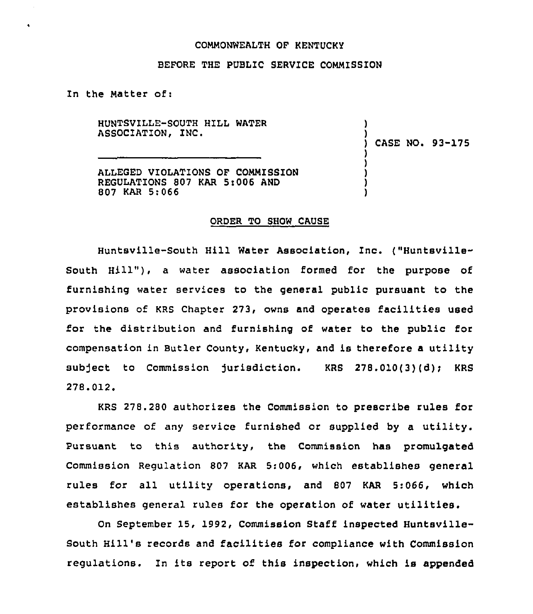### COMMONWEALTH OF KENTUCKY

## BEFORE THE PUBLIC SERVICE COMMISSION

In the Matter of:

HUNTSVILLE-SOUTH HILL WATER ASSOCIATION, INC.

) CASE NO. 93-175

) )

) ) ) !<br>. )

ALLEGED VIOLATIONS OF COMMISSION REGULATIONS 807 KAR 5:006 AND 807 KAR 5:066

#### ORDER TO SHOW CAUSE

Huntsville-South Hill Water Association, Inc. ("Huntsville-South Hill"), a water association formed for the purpose of furnishing water services to the general public pursuant to the provisions of KRS Chapter 273, owns and operates facilities used for the distribution and furnishing of water to the public for compensation in Butler County, Kentucky, and is therefore a utility subject to Commission jurisdiction. KRS 278.010(3)(d); KRS 278.012.

KRS 278.280 authorizes the Commission to prescribe rules for performance of any service furnished or supplied by a utility. Pursuant to this authority, the Commission has promulgated Commission Regulation 807 KAR 5:006, which establishes general rules for all utility operaticns, and 807 KAR 5:066, which establishes general rules for the operation of water utilities.

On September 15, 1992, Commission Staff inspected Huntsville-South Hill's records and facilities for compliance with Commission regulations. In its report of this inspection, which is appended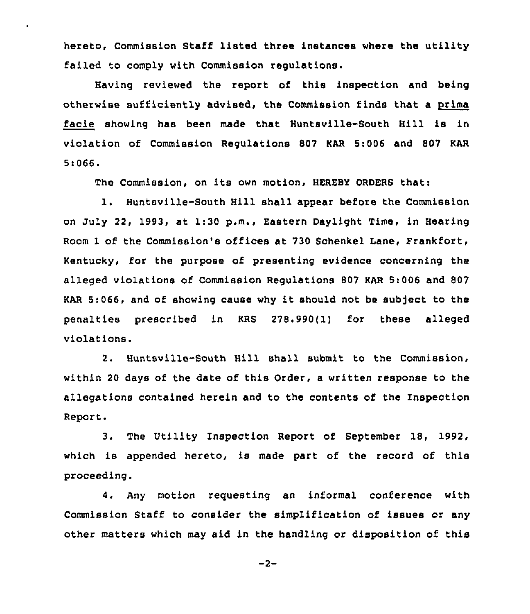hereto, Commission Staff listed three instances where the utility failed to comply with Commission regulations.

Having reviewed the report of this inspection and being otherwise sufficiently advised, the Commission finds that a prima facie showing has been made that Huntsville-South Hill is in violation of Commission Regulations 807 KAR 5:006 and 807 KAR 5:066.

The Commission, on its own motion, HEREBY ORDERS thati

1. Huntsville-South Hill shall appear before the Commission on July 22, 1993, at 1:30 p.m., Eastern Daylight Time, in Hearing Room 1 of the Commission's offices at 730 Schenkel Lane, Frankfort, Kentucky, for the purpose of presenting evidence concerning the alleged violations of Commission Regulations 807 KAR 5i 006 and 807 KAR 5:066, and of showing cause why it should not be subject to the penalties prescribed in KRS 278.990(1) for these alleged violations.

2. Huntsville-South Hill shall submit to the Commission, within 20 days of the date of this Order, a written response to the allegations contained herein and to the contents of the Inspection Report.

3. The Utility Inspection Report of September 18, 1992, which is appended hereto, is made part of the record of this proceeding.

4. Any motion requesting an informal conference with Commission Staff to consider the simplification of issues or any other matters which may aid in the handling or disposition of this

 $-2-$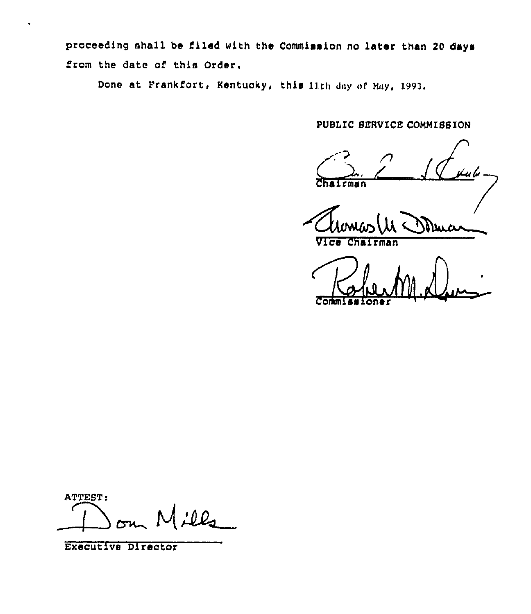proceeding shall be filed with the Commission no later than 20 days from the date of this Order.

Done at Frankfort, Kentucky, this lith day of May, 1993.

PUBLIC SERVICE COMMISSION

ما پپ  $\overline{c}$ man

Mug  $\sqrt{1}$   $\sigma$ Chairman

ATTEST:  $100 -$ 

Executive Director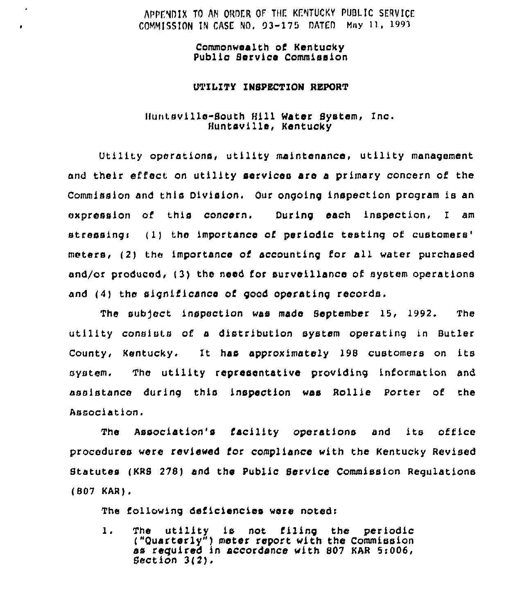# APPENDIX TO AN ORDER OF THE KENTUCKY PUBLIC SERVICE COMMISSION IN CASE NO, 93-175 OATEO Mny ) ), <sup>1993</sup>

Commonwealth of Kentucky Public Service Commission

 $\mathbf{r}$ 

### UTIIITy INSPECTION REPORT

## Huntsville-South Hill Nater System, Inc. Huntsville, Kentucky

utility operations, utility maintenance, utility management and their effect on utility services are a primary concern of the Commission and this Division. Our ongoing inspection program is an expression of this concern. During each inspection, I am stressing: (1) the importance of periodic testing of customers' meters, (2) the importance of accounting for all water purchased and/or produced, (3) the need for surveillance of system operations and (4) the significance of good operating records.

The sub)ect inspection was made September 15, 1992. The utility consists of a distribution system operating in Butler County, Kentucky. It has approximately 198 customers on its system. The utility representative providing information and assistance during this inspection was Rollie Porter of the Association.

The Association's facility operations and its office procedures were reviewed for compliance with the Kentucky Revised Statutes (KRS 278) and the Public Service Commission Regulations (807 KAR).

The following deficiencies were noted:

1. The utility is not filing the periodic ("Ouarterly") meter report with the Commission as reguired in accordance with S07 KAR 5:006, Section 3(2).